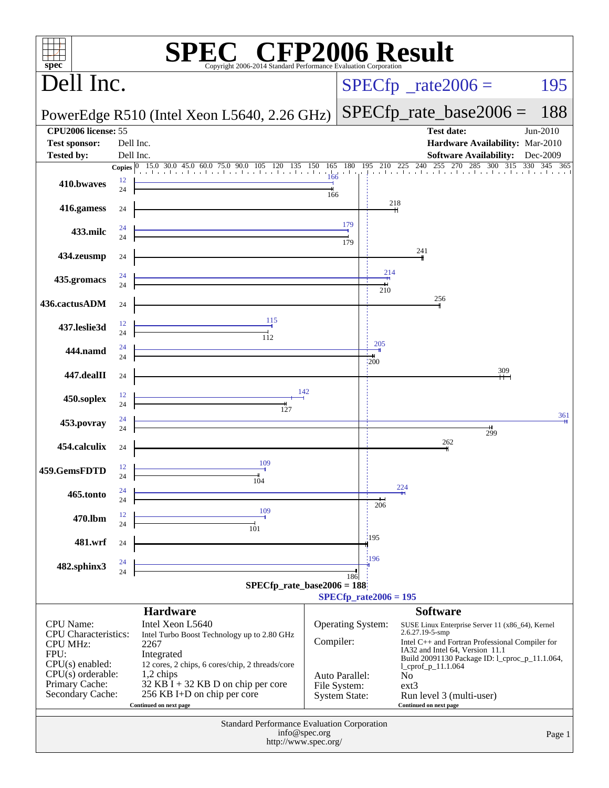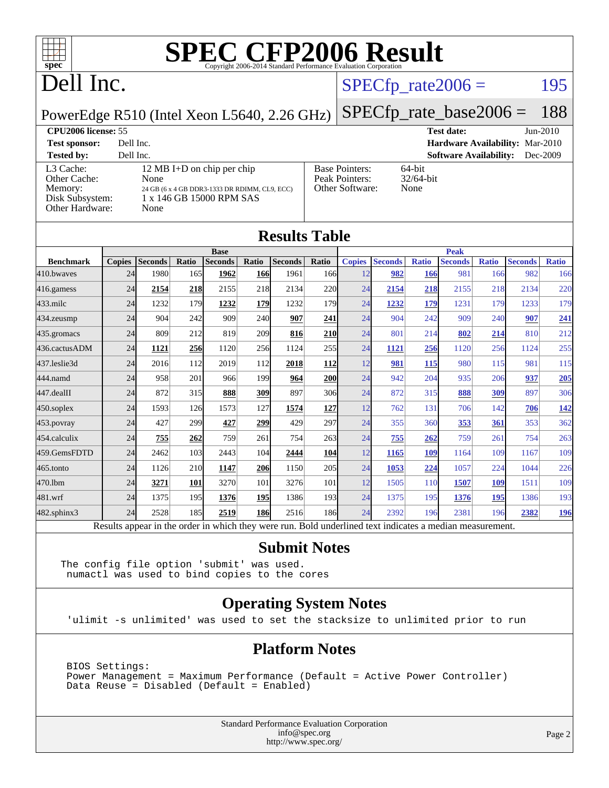

### Dell Inc.

### $SPECTp_rate2006 = 195$

PowerEdge R510 (Intel Xeon L5640, 2.26 GHz)

### [SPECfp\\_rate\\_base2006 =](http://www.spec.org/auto/cpu2006/Docs/result-fields.html#SPECfpratebase2006) 188 **[CPU2006 license:](http://www.spec.org/auto/cpu2006/Docs/result-fields.html#CPU2006license)** 55 **[Test date:](http://www.spec.org/auto/cpu2006/Docs/result-fields.html#Testdate)** Jun-2010 **[Test sponsor:](http://www.spec.org/auto/cpu2006/Docs/result-fields.html#Testsponsor)** Dell Inc. **[Hardware Availability:](http://www.spec.org/auto/cpu2006/Docs/result-fields.html#HardwareAvailability)** Mar-2010 **[Tested by:](http://www.spec.org/auto/cpu2006/Docs/result-fields.html#Testedby)** Dell Inc. **[Software Availability:](http://www.spec.org/auto/cpu2006/Docs/result-fields.html#SoftwareAvailability)** Dec-2009 [L3 Cache:](http://www.spec.org/auto/cpu2006/Docs/result-fields.html#L3Cache) 12 MB I+D on chip per chip<br>Other Cache: None [Other Cache:](http://www.spec.org/auto/cpu2006/Docs/result-fields.html#OtherCache) [Memory:](http://www.spec.org/auto/cpu2006/Docs/result-fields.html#Memory) 24 GB (6 x 4 GB DDR3-1333 DR RDIMM, CL9, ECC) [Disk Subsystem:](http://www.spec.org/auto/cpu2006/Docs/result-fields.html#DiskSubsystem) 1 x 146 GB 15000 RPM SAS [Other Hardware:](http://www.spec.org/auto/cpu2006/Docs/result-fields.html#OtherHardware) None [Base Pointers:](http://www.spec.org/auto/cpu2006/Docs/result-fields.html#BasePointers) 64-bit<br>Peak Pointers: 32/64-bit [Peak Pointers:](http://www.spec.org/auto/cpu2006/Docs/result-fields.html#PeakPointers) [Other Software:](http://www.spec.org/auto/cpu2006/Docs/result-fields.html#OtherSoftware) None

| <b>Results Table</b> |               |                                                                                                          |            |                |            |                |                  |               |                |              |                |              |                |              |
|----------------------|---------------|----------------------------------------------------------------------------------------------------------|------------|----------------|------------|----------------|------------------|---------------|----------------|--------------|----------------|--------------|----------------|--------------|
|                      |               |                                                                                                          |            | <b>Base</b>    |            |                |                  |               |                |              | <b>Peak</b>    |              |                |              |
| <b>Benchmark</b>     | <b>Copies</b> | <b>Seconds</b>                                                                                           | Ratio      | <b>Seconds</b> | Ratio      | <b>Seconds</b> | Ratio            | <b>Copies</b> | <b>Seconds</b> | <b>Ratio</b> | <b>Seconds</b> | <b>Ratio</b> | <b>Seconds</b> | <b>Ratio</b> |
| 410.bwayes           | 24            | 1980                                                                                                     | 165        | 1962           | <b>166</b> | 1961           | 166              | 12            | 982            | 166          | 981            | 166          | 982            | 166          |
| $416$ .gamess        | 24            | 2154                                                                                                     | 218        | 2155           | 218        | 2134           | 220              | 24            | 2154           | 218          | 2155           | 218          | 2134           | 220          |
| $433$ .milc          | 24            | 1232                                                                                                     | 179        | 1232           | 179        | 1232           | 179              | 24            | 1232           | 179          | 1231           | 179          | 1233           | 179          |
| $434$ . zeusmp       | 24            | 904                                                                                                      | 242        | 909            | <b>240</b> | 907            | 241              | 24            | 904            | 242          | 909            | 240          | 907            | 241          |
| 435.gromacs          | 24            | 809                                                                                                      | 212        | 819            | <b>209</b> | 816            | 210              | 24            | 801            | 214          | 802            | 214          | 810            | 212          |
| 436.cactusADM        | 24            | 1121                                                                                                     | 256        | 1120           | 256        | 1124           | 255              | 24            | 1121           | 256          | 1120           | 256          | 1124           | 255          |
| 437.leslie3d         | 24            | 2016                                                                                                     | 112        | 2019           | 112        | 2018           | <b>112</b>       | 12            | 981            | 115          | 980            | 115          | 981            | 115          |
| 444.namd             | 24            | 958                                                                                                      | 201        | 966            | 199        | 964            | <b>200</b>       | 24            | 942            | 204          | 935            | 206          | 937            | 205          |
| $447$ .dealII        | 24            | 872                                                                                                      | 315        | 888            | 309        | 897            | 30 <sub>6</sub>  | 24            | 872            | 315          | 888            | 309          | 897            | 306          |
| $450$ .soplex        | 24            | 1593                                                                                                     | 126        | 1573           | 127        | 1574           | 127              | 12            | 762            | 131          | 706            | 142          | 706            | 142          |
| 453.povray           | 24            | 427                                                                                                      | 299        | 427            | 299        | 429            | 297              | 24            | 355            | 360          | 353            | 361          | 353            | 362          |
| 454.calculix         | 24            | 755                                                                                                      | 262        | 759            | 261        | 754            | 263              | 24            | 755            | 262          | 759            | 261          | 754            | 263          |
| 459.GemsFDTD         | 24            | 2462                                                                                                     | 103        | 2443           | 104        | 2444           | <b>104</b>       | 12            | 1165           | 109          | 1164           | 109          | 1167           | 109          |
| $465$ .tonto         | 24            | 1126                                                                                                     | 210        | 1147           | 206        | 1150           | 205              | 24            | 1053           | 224          | 1057           | 224          | 1044           | 226          |
| 470.1bm              | 24            | 3271                                                                                                     | <b>101</b> | 3270           | 101        | 3276           | 101              | 12            | 1505           | 110          | 1507           | 109          | 1511           | 109          |
| 481.wrf              | 24            | 1375                                                                                                     | 195        | 1376           | 195        | 1386           | 193 <sup>1</sup> | 24            | 1375           | 195          | 1376           | 195          | 1386           | 193          |
| 482.sphinx3          | 24            | 2528                                                                                                     | 185        | 2519           | <b>186</b> | 2516           | 186              | 24            | 2392           | 196          | 2381           | 196          | 2382           | <u>196</u>   |
|                      |               | Results appear in the order in which they were run. Bold underlined text indicates a median measurement. |            |                |            |                |                  |               |                |              |                |              |                |              |

### **[Submit Notes](http://www.spec.org/auto/cpu2006/Docs/result-fields.html#SubmitNotes)**

The config file option 'submit' was used. numactl was used to bind copies to the cores

### **[Operating System Notes](http://www.spec.org/auto/cpu2006/Docs/result-fields.html#OperatingSystemNotes)**

'ulimit -s unlimited' was used to set the stacksize to unlimited prior to run

### **[Platform Notes](http://www.spec.org/auto/cpu2006/Docs/result-fields.html#PlatformNotes)**

 BIOS Settings: Power Management = Maximum Performance (Default = Active Power Controller) Data Reuse = Disabled (Default = Enabled)

> Standard Performance Evaluation Corporation [info@spec.org](mailto:info@spec.org) <http://www.spec.org/>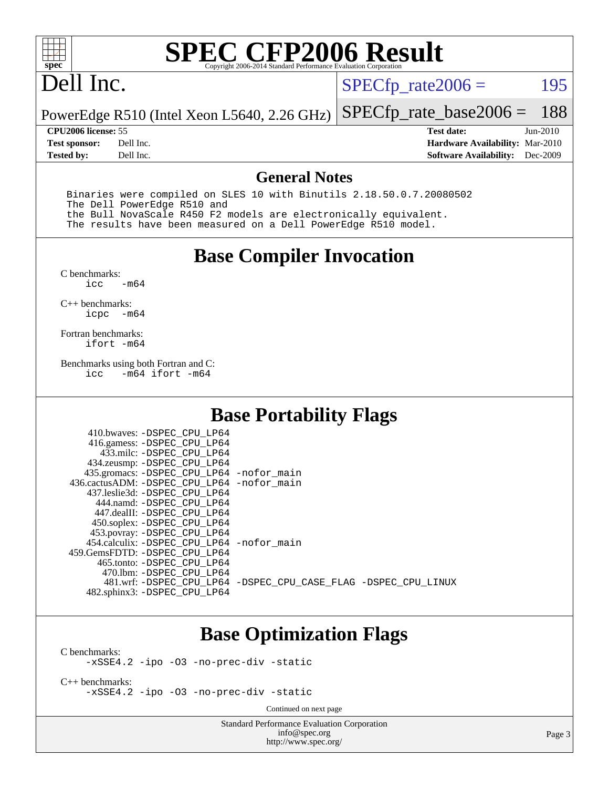

### Dell Inc.

 $SPECTp_rate2006 = 195$ 

PowerEdge R510 (Intel Xeon L5640, 2.26 GHz) [SPECfp\\_rate\\_base2006 =](http://www.spec.org/auto/cpu2006/Docs/result-fields.html#SPECfpratebase2006) 188

**[Tested by:](http://www.spec.org/auto/cpu2006/Docs/result-fields.html#Testedby)** Dell Inc. **[Software Availability:](http://www.spec.org/auto/cpu2006/Docs/result-fields.html#SoftwareAvailability)** Dec-2009

**[CPU2006 license:](http://www.spec.org/auto/cpu2006/Docs/result-fields.html#CPU2006license)** 55 **[Test date:](http://www.spec.org/auto/cpu2006/Docs/result-fields.html#Testdate)** Jun-2010 **[Test sponsor:](http://www.spec.org/auto/cpu2006/Docs/result-fields.html#Testsponsor)** Dell Inc. **[Hardware Availability:](http://www.spec.org/auto/cpu2006/Docs/result-fields.html#HardwareAvailability)** Mar-2010

### **[General Notes](http://www.spec.org/auto/cpu2006/Docs/result-fields.html#GeneralNotes)**

 Binaries were compiled on SLES 10 with Binutils 2.18.50.0.7.20080502 The Dell PowerEdge R510 and the Bull NovaScale R450 F2 models are electronically equivalent. The results have been measured on a Dell PowerEdge R510 model.

### **[Base Compiler Invocation](http://www.spec.org/auto/cpu2006/Docs/result-fields.html#BaseCompilerInvocation)**

 $C$  benchmarks:<br>icc  $-m64$ 

[C++ benchmarks:](http://www.spec.org/auto/cpu2006/Docs/result-fields.html#CXXbenchmarks) [icpc -m64](http://www.spec.org/cpu2006/results/res2010q3/cpu2006-20100913-13214.flags.html#user_CXXbase_intel_icpc_64bit_bedb90c1146cab66620883ef4f41a67e)

[Fortran benchmarks](http://www.spec.org/auto/cpu2006/Docs/result-fields.html#Fortranbenchmarks): [ifort -m64](http://www.spec.org/cpu2006/results/res2010q3/cpu2006-20100913-13214.flags.html#user_FCbase_intel_ifort_64bit_ee9d0fb25645d0210d97eb0527dcc06e)

[Benchmarks using both Fortran and C](http://www.spec.org/auto/cpu2006/Docs/result-fields.html#BenchmarksusingbothFortranandC):<br>icc -m64 ifort -m64  $-m64$  ifort  $-m64$ 

### **[Base Portability Flags](http://www.spec.org/auto/cpu2006/Docs/result-fields.html#BasePortabilityFlags)**

| 410.bwaves: -DSPEC CPU LP64<br>416.gamess: -DSPEC_CPU_LP64<br>433.milc: -DSPEC CPU LP64<br>434.zeusmp: -DSPEC_CPU_LP64<br>435.gromacs: -DSPEC_CPU_LP64 -nofor_main<br>436.cactusADM: - DSPEC CPU LP64 - nofor main<br>437.leslie3d: -DSPEC CPU LP64<br>444.namd: -DSPEC CPU LP64<br>447.dealII: -DSPEC CPU LP64 |                                                                |
|-----------------------------------------------------------------------------------------------------------------------------------------------------------------------------------------------------------------------------------------------------------------------------------------------------------------|----------------------------------------------------------------|
| 450.soplex: -DSPEC CPU LP64<br>453.povray: -DSPEC_CPU_LP64<br>454.calculix: - DSPEC CPU LP64 - nofor main<br>459. GemsFDTD: - DSPEC CPU LP64<br>465.tonto: -DSPEC CPU LP64                                                                                                                                      |                                                                |
| 470.1bm: - DSPEC CPU LP64<br>482.sphinx3: -DSPEC_CPU_LP64                                                                                                                                                                                                                                                       | 481.wrf: -DSPEC CPU_LP64 -DSPEC_CPU_CASE_FLAG -DSPEC_CPU_LINUX |

### **[Base Optimization Flags](http://www.spec.org/auto/cpu2006/Docs/result-fields.html#BaseOptimizationFlags)**

[C benchmarks](http://www.spec.org/auto/cpu2006/Docs/result-fields.html#Cbenchmarks):

[-xSSE4.2](http://www.spec.org/cpu2006/results/res2010q3/cpu2006-20100913-13214.flags.html#user_CCbase_f-xSSE42_f91528193cf0b216347adb8b939d4107) [-ipo](http://www.spec.org/cpu2006/results/res2010q3/cpu2006-20100913-13214.flags.html#user_CCbase_f-ipo) [-O3](http://www.spec.org/cpu2006/results/res2010q3/cpu2006-20100913-13214.flags.html#user_CCbase_f-O3) [-no-prec-div](http://www.spec.org/cpu2006/results/res2010q3/cpu2006-20100913-13214.flags.html#user_CCbase_f-no-prec-div) [-static](http://www.spec.org/cpu2006/results/res2010q3/cpu2006-20100913-13214.flags.html#user_CCbase_f-static)

[C++ benchmarks:](http://www.spec.org/auto/cpu2006/Docs/result-fields.html#CXXbenchmarks) [-xSSE4.2](http://www.spec.org/cpu2006/results/res2010q3/cpu2006-20100913-13214.flags.html#user_CXXbase_f-xSSE42_f91528193cf0b216347adb8b939d4107) [-ipo](http://www.spec.org/cpu2006/results/res2010q3/cpu2006-20100913-13214.flags.html#user_CXXbase_f-ipo) [-O3](http://www.spec.org/cpu2006/results/res2010q3/cpu2006-20100913-13214.flags.html#user_CXXbase_f-O3) [-no-prec-div](http://www.spec.org/cpu2006/results/res2010q3/cpu2006-20100913-13214.flags.html#user_CXXbase_f-no-prec-div) [-static](http://www.spec.org/cpu2006/results/res2010q3/cpu2006-20100913-13214.flags.html#user_CXXbase_f-static)

Continued on next page

Standard Performance Evaluation Corporation [info@spec.org](mailto:info@spec.org) <http://www.spec.org/>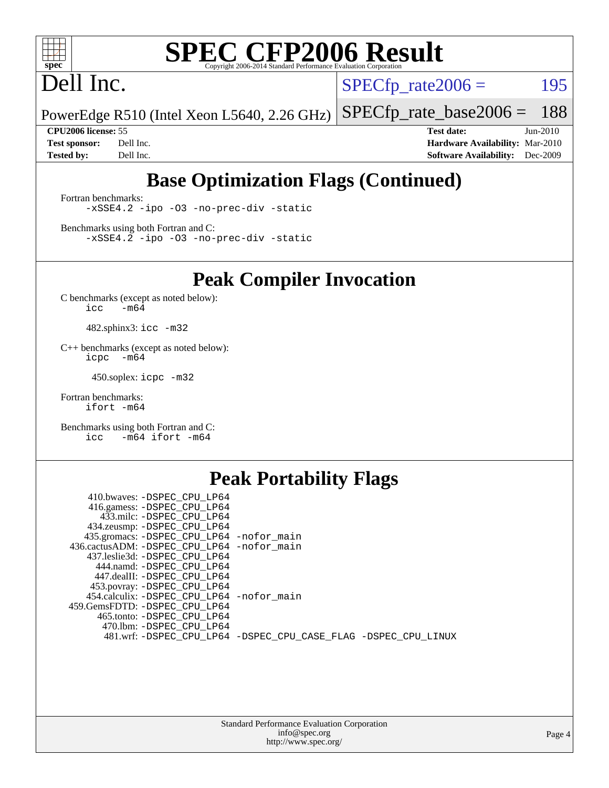

### Dell Inc.

 $SPECTp_rate2006 = 195$ 

PowerEdge R510 (Intel Xeon L5640, 2.26 GHz) [SPECfp\\_rate\\_base2006 =](http://www.spec.org/auto/cpu2006/Docs/result-fields.html#SPECfpratebase2006) 188

**[CPU2006 license:](http://www.spec.org/auto/cpu2006/Docs/result-fields.html#CPU2006license)** 55 **[Test date:](http://www.spec.org/auto/cpu2006/Docs/result-fields.html#Testdate)** Jun-2010 **[Test sponsor:](http://www.spec.org/auto/cpu2006/Docs/result-fields.html#Testsponsor)** Dell Inc. **[Hardware Availability:](http://www.spec.org/auto/cpu2006/Docs/result-fields.html#HardwareAvailability)** Mar-2010 **[Tested by:](http://www.spec.org/auto/cpu2006/Docs/result-fields.html#Testedby)** Dell Inc. **[Software Availability:](http://www.spec.org/auto/cpu2006/Docs/result-fields.html#SoftwareAvailability)** Dec-2009

### **[Base Optimization Flags \(Continued\)](http://www.spec.org/auto/cpu2006/Docs/result-fields.html#BaseOptimizationFlags)**

[Fortran benchmarks](http://www.spec.org/auto/cpu2006/Docs/result-fields.html#Fortranbenchmarks): [-xSSE4.2](http://www.spec.org/cpu2006/results/res2010q3/cpu2006-20100913-13214.flags.html#user_FCbase_f-xSSE42_f91528193cf0b216347adb8b939d4107) [-ipo](http://www.spec.org/cpu2006/results/res2010q3/cpu2006-20100913-13214.flags.html#user_FCbase_f-ipo) [-O3](http://www.spec.org/cpu2006/results/res2010q3/cpu2006-20100913-13214.flags.html#user_FCbase_f-O3) [-no-prec-div](http://www.spec.org/cpu2006/results/res2010q3/cpu2006-20100913-13214.flags.html#user_FCbase_f-no-prec-div) [-static](http://www.spec.org/cpu2006/results/res2010q3/cpu2006-20100913-13214.flags.html#user_FCbase_f-static)

[Benchmarks using both Fortran and C](http://www.spec.org/auto/cpu2006/Docs/result-fields.html#BenchmarksusingbothFortranandC): [-xSSE4.2](http://www.spec.org/cpu2006/results/res2010q3/cpu2006-20100913-13214.flags.html#user_CC_FCbase_f-xSSE42_f91528193cf0b216347adb8b939d4107) [-ipo](http://www.spec.org/cpu2006/results/res2010q3/cpu2006-20100913-13214.flags.html#user_CC_FCbase_f-ipo) [-O3](http://www.spec.org/cpu2006/results/res2010q3/cpu2006-20100913-13214.flags.html#user_CC_FCbase_f-O3) [-no-prec-div](http://www.spec.org/cpu2006/results/res2010q3/cpu2006-20100913-13214.flags.html#user_CC_FCbase_f-no-prec-div) [-static](http://www.spec.org/cpu2006/results/res2010q3/cpu2006-20100913-13214.flags.html#user_CC_FCbase_f-static)

**[Peak Compiler Invocation](http://www.spec.org/auto/cpu2006/Docs/result-fields.html#PeakCompilerInvocation)**

[C benchmarks \(except as noted below\)](http://www.spec.org/auto/cpu2006/Docs/result-fields.html#Cbenchmarksexceptasnotedbelow):  $\text{icc}$  -m64

482.sphinx3: [icc -m32](http://www.spec.org/cpu2006/results/res2010q3/cpu2006-20100913-13214.flags.html#user_peakCCLD482_sphinx3_intel_icc_32bit_a6a621f8d50482236b970c6ac5f55f93)

[C++ benchmarks \(except as noted below\):](http://www.spec.org/auto/cpu2006/Docs/result-fields.html#CXXbenchmarksexceptasnotedbelow) [icpc -m64](http://www.spec.org/cpu2006/results/res2010q3/cpu2006-20100913-13214.flags.html#user_CXXpeak_intel_icpc_64bit_bedb90c1146cab66620883ef4f41a67e)

450.soplex: [icpc -m32](http://www.spec.org/cpu2006/results/res2010q3/cpu2006-20100913-13214.flags.html#user_peakCXXLD450_soplex_intel_icpc_32bit_4e5a5ef1a53fd332b3c49e69c3330699)

[Fortran benchmarks](http://www.spec.org/auto/cpu2006/Docs/result-fields.html#Fortranbenchmarks): [ifort -m64](http://www.spec.org/cpu2006/results/res2010q3/cpu2006-20100913-13214.flags.html#user_FCpeak_intel_ifort_64bit_ee9d0fb25645d0210d97eb0527dcc06e)

[Benchmarks using both Fortran and C](http://www.spec.org/auto/cpu2006/Docs/result-fields.html#BenchmarksusingbothFortranandC): [icc -m64](http://www.spec.org/cpu2006/results/res2010q3/cpu2006-20100913-13214.flags.html#user_CC_FCpeak_intel_icc_64bit_0b7121f5ab7cfabee23d88897260401c) [ifort -m64](http://www.spec.org/cpu2006/results/res2010q3/cpu2006-20100913-13214.flags.html#user_CC_FCpeak_intel_ifort_64bit_ee9d0fb25645d0210d97eb0527dcc06e)

### **[Peak Portability Flags](http://www.spec.org/auto/cpu2006/Docs/result-fields.html#PeakPortabilityFlags)**

| 410.bwaves: -DSPEC CPU LP64                |                                                                |
|--------------------------------------------|----------------------------------------------------------------|
| 416.gamess: -DSPEC CPU LP64                |                                                                |
| 433.milc: -DSPEC CPU LP64                  |                                                                |
| 434.zeusmp: -DSPEC_CPU_LP64                |                                                                |
| 435.gromacs: -DSPEC_CPU_LP64 -nofor_main   |                                                                |
| 436.cactusADM: -DSPEC CPU LP64 -nofor main |                                                                |
| 437.leslie3d: -DSPEC CPU LP64              |                                                                |
| 444.namd: -DSPEC CPU LP64                  |                                                                |
| 447.dealII: -DSPEC CPU LP64                |                                                                |
| 453.povray: -DSPEC_CPU_LP64                |                                                                |
| 454.calculix: -DSPEC_CPU_LP64 -nofor_main  |                                                                |
| 459.GemsFDTD: -DSPEC CPU LP64              |                                                                |
| 465.tonto: -DSPEC CPU LP64                 |                                                                |
| 470.1bm: - DSPEC CPU LP64                  |                                                                |
|                                            | 481.wrf: -DSPEC_CPU_LP64 -DSPEC_CPU_CASE_FLAG -DSPEC_CPU_LINUX |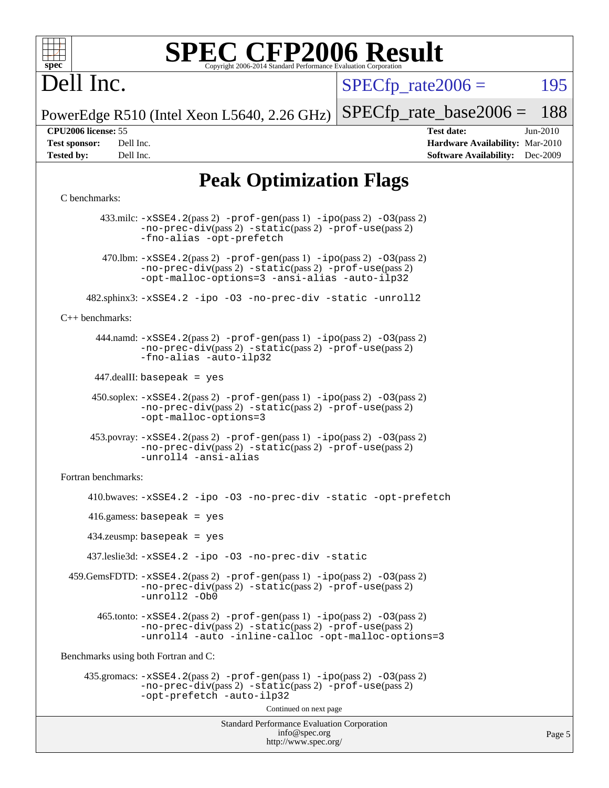

### Dell Inc.

 $SPECTp\_rate2006 = 195$ 

PowerEdge R510 (Intel Xeon L5640, 2.26 GHz) [SPECfp\\_rate\\_base2006 =](http://www.spec.org/auto/cpu2006/Docs/result-fields.html#SPECfpratebase2006) 188

**[CPU2006 license:](http://www.spec.org/auto/cpu2006/Docs/result-fields.html#CPU2006license)** 55 **[Test date:](http://www.spec.org/auto/cpu2006/Docs/result-fields.html#Testdate)** Jun-2010 **[Test sponsor:](http://www.spec.org/auto/cpu2006/Docs/result-fields.html#Testsponsor)** Dell Inc. **[Hardware Availability:](http://www.spec.org/auto/cpu2006/Docs/result-fields.html#HardwareAvailability)** Mar-2010 **[Tested by:](http://www.spec.org/auto/cpu2006/Docs/result-fields.html#Testedby)** Dell Inc. **[Software Availability:](http://www.spec.org/auto/cpu2006/Docs/result-fields.html#SoftwareAvailability)** Dec-2009

Page 5

### **[Peak Optimization Flags](http://www.spec.org/auto/cpu2006/Docs/result-fields.html#PeakOptimizationFlags)**

### [C benchmarks](http://www.spec.org/auto/cpu2006/Docs/result-fields.html#Cbenchmarks):

Standard Performance Evaluation Corporation [info@spec.org](mailto:info@spec.org) <http://www.spec.org/> 433.milc: [-xSSE4.2](http://www.spec.org/cpu2006/results/res2010q3/cpu2006-20100913-13214.flags.html#user_peakPASS2_CFLAGSPASS2_LDFLAGS433_milc_f-xSSE42_f91528193cf0b216347adb8b939d4107)(pass 2) [-prof-gen](http://www.spec.org/cpu2006/results/res2010q3/cpu2006-20100913-13214.flags.html#user_peakPASS1_CFLAGSPASS1_LDFLAGS433_milc_prof_gen_e43856698f6ca7b7e442dfd80e94a8fc)(pass 1) [-ipo](http://www.spec.org/cpu2006/results/res2010q3/cpu2006-20100913-13214.flags.html#user_peakPASS2_CFLAGSPASS2_LDFLAGS433_milc_f-ipo)(pass 2) [-O3](http://www.spec.org/cpu2006/results/res2010q3/cpu2006-20100913-13214.flags.html#user_peakPASS2_CFLAGSPASS2_LDFLAGS433_milc_f-O3)(pass 2) [-no-prec-div](http://www.spec.org/cpu2006/results/res2010q3/cpu2006-20100913-13214.flags.html#user_peakPASS2_CFLAGSPASS2_LDFLAGS433_milc_f-no-prec-div)(pass 2) [-static](http://www.spec.org/cpu2006/results/res2010q3/cpu2006-20100913-13214.flags.html#user_peakPASS2_CFLAGSPASS2_LDFLAGS433_milc_f-static)(pass 2) [-prof-use](http://www.spec.org/cpu2006/results/res2010q3/cpu2006-20100913-13214.flags.html#user_peakPASS2_CFLAGSPASS2_LDFLAGS433_milc_prof_use_bccf7792157ff70d64e32fe3e1250b55)(pass 2) [-fno-alias](http://www.spec.org/cpu2006/results/res2010q3/cpu2006-20100913-13214.flags.html#user_peakOPTIMIZE433_milc_f-no-alias_694e77f6c5a51e658e82ccff53a9e63a) [-opt-prefetch](http://www.spec.org/cpu2006/results/res2010q3/cpu2006-20100913-13214.flags.html#user_peakOPTIMIZE433_milc_f-opt-prefetch) 470.1bm:  $-xSSE4$ . 2(pass 2)  $-prof-gen(pass 1) -ipo(pass 2) -O3(pass 2)$  $-prof-gen(pass 1) -ipo(pass 2) -O3(pass 2)$  $-prof-gen(pass 1) -ipo(pass 2) -O3(pass 2)$  $-prof-gen(pass 1) -ipo(pass 2) -O3(pass 2)$  $-prof-gen(pass 1) -ipo(pass 2) -O3(pass 2)$  $-prof-gen(pass 1) -ipo(pass 2) -O3(pass 2)$ [-no-prec-div](http://www.spec.org/cpu2006/results/res2010q3/cpu2006-20100913-13214.flags.html#user_peakPASS2_CFLAGSPASS2_LDFLAGS470_lbm_f-no-prec-div)(pass 2) [-static](http://www.spec.org/cpu2006/results/res2010q3/cpu2006-20100913-13214.flags.html#user_peakPASS2_CFLAGSPASS2_LDFLAGS470_lbm_f-static)(pass 2) [-prof-use](http://www.spec.org/cpu2006/results/res2010q3/cpu2006-20100913-13214.flags.html#user_peakPASS2_CFLAGSPASS2_LDFLAGS470_lbm_prof_use_bccf7792157ff70d64e32fe3e1250b55)(pass 2) [-opt-malloc-options=3](http://www.spec.org/cpu2006/results/res2010q3/cpu2006-20100913-13214.flags.html#user_peakOPTIMIZE470_lbm_f-opt-malloc-options_13ab9b803cf986b4ee62f0a5998c2238) [-ansi-alias](http://www.spec.org/cpu2006/results/res2010q3/cpu2006-20100913-13214.flags.html#user_peakOPTIMIZE470_lbm_f-ansi-alias) [-auto-ilp32](http://www.spec.org/cpu2006/results/res2010q3/cpu2006-20100913-13214.flags.html#user_peakCOPTIMIZE470_lbm_f-auto-ilp32) 482.sphinx3: [-xSSE4.2](http://www.spec.org/cpu2006/results/res2010q3/cpu2006-20100913-13214.flags.html#user_peakOPTIMIZE482_sphinx3_f-xSSE42_f91528193cf0b216347adb8b939d4107) [-ipo](http://www.spec.org/cpu2006/results/res2010q3/cpu2006-20100913-13214.flags.html#user_peakOPTIMIZE482_sphinx3_f-ipo) [-O3](http://www.spec.org/cpu2006/results/res2010q3/cpu2006-20100913-13214.flags.html#user_peakOPTIMIZE482_sphinx3_f-O3) [-no-prec-div](http://www.spec.org/cpu2006/results/res2010q3/cpu2006-20100913-13214.flags.html#user_peakOPTIMIZE482_sphinx3_f-no-prec-div) [-static](http://www.spec.org/cpu2006/results/res2010q3/cpu2006-20100913-13214.flags.html#user_peakOPTIMIZE482_sphinx3_f-static) [-unroll2](http://www.spec.org/cpu2006/results/res2010q3/cpu2006-20100913-13214.flags.html#user_peakCOPTIMIZE482_sphinx3_f-unroll_784dae83bebfb236979b41d2422d7ec2) [C++ benchmarks:](http://www.spec.org/auto/cpu2006/Docs/result-fields.html#CXXbenchmarks) 444.namd: [-xSSE4.2](http://www.spec.org/cpu2006/results/res2010q3/cpu2006-20100913-13214.flags.html#user_peakPASS2_CXXFLAGSPASS2_LDFLAGS444_namd_f-xSSE42_f91528193cf0b216347adb8b939d4107)(pass 2) [-prof-gen](http://www.spec.org/cpu2006/results/res2010q3/cpu2006-20100913-13214.flags.html#user_peakPASS1_CXXFLAGSPASS1_LDFLAGS444_namd_prof_gen_e43856698f6ca7b7e442dfd80e94a8fc)(pass 1) [-ipo](http://www.spec.org/cpu2006/results/res2010q3/cpu2006-20100913-13214.flags.html#user_peakPASS2_CXXFLAGSPASS2_LDFLAGS444_namd_f-ipo)(pass 2) [-O3](http://www.spec.org/cpu2006/results/res2010q3/cpu2006-20100913-13214.flags.html#user_peakPASS2_CXXFLAGSPASS2_LDFLAGS444_namd_f-O3)(pass 2) [-no-prec-div](http://www.spec.org/cpu2006/results/res2010q3/cpu2006-20100913-13214.flags.html#user_peakPASS2_CXXFLAGSPASS2_LDFLAGS444_namd_f-no-prec-div)(pass 2) [-static](http://www.spec.org/cpu2006/results/res2010q3/cpu2006-20100913-13214.flags.html#user_peakPASS2_CXXFLAGSPASS2_LDFLAGS444_namd_f-static)(pass 2) [-prof-use](http://www.spec.org/cpu2006/results/res2010q3/cpu2006-20100913-13214.flags.html#user_peakPASS2_CXXFLAGSPASS2_LDFLAGS444_namd_prof_use_bccf7792157ff70d64e32fe3e1250b55)(pass 2) [-fno-alias](http://www.spec.org/cpu2006/results/res2010q3/cpu2006-20100913-13214.flags.html#user_peakCXXOPTIMIZE444_namd_f-no-alias_694e77f6c5a51e658e82ccff53a9e63a) [-auto-ilp32](http://www.spec.org/cpu2006/results/res2010q3/cpu2006-20100913-13214.flags.html#user_peakCXXOPTIMIZE444_namd_f-auto-ilp32) 447.dealII: basepeak = yes 450.soplex: [-xSSE4.2](http://www.spec.org/cpu2006/results/res2010q3/cpu2006-20100913-13214.flags.html#user_peakPASS2_CXXFLAGSPASS2_LDFLAGS450_soplex_f-xSSE42_f91528193cf0b216347adb8b939d4107)(pass 2) [-prof-gen](http://www.spec.org/cpu2006/results/res2010q3/cpu2006-20100913-13214.flags.html#user_peakPASS1_CXXFLAGSPASS1_LDFLAGS450_soplex_prof_gen_e43856698f6ca7b7e442dfd80e94a8fc)(pass 1) [-ipo](http://www.spec.org/cpu2006/results/res2010q3/cpu2006-20100913-13214.flags.html#user_peakPASS2_CXXFLAGSPASS2_LDFLAGS450_soplex_f-ipo)(pass 2) [-O3](http://www.spec.org/cpu2006/results/res2010q3/cpu2006-20100913-13214.flags.html#user_peakPASS2_CXXFLAGSPASS2_LDFLAGS450_soplex_f-O3)(pass 2) [-no-prec-div](http://www.spec.org/cpu2006/results/res2010q3/cpu2006-20100913-13214.flags.html#user_peakPASS2_CXXFLAGSPASS2_LDFLAGS450_soplex_f-no-prec-div)(pass 2) [-static](http://www.spec.org/cpu2006/results/res2010q3/cpu2006-20100913-13214.flags.html#user_peakPASS2_CXXFLAGSPASS2_LDFLAGS450_soplex_f-static)(pass 2) [-prof-use](http://www.spec.org/cpu2006/results/res2010q3/cpu2006-20100913-13214.flags.html#user_peakPASS2_CXXFLAGSPASS2_LDFLAGS450_soplex_prof_use_bccf7792157ff70d64e32fe3e1250b55)(pass 2) [-opt-malloc-options=3](http://www.spec.org/cpu2006/results/res2010q3/cpu2006-20100913-13214.flags.html#user_peakOPTIMIZE450_soplex_f-opt-malloc-options_13ab9b803cf986b4ee62f0a5998c2238) 453.povray: [-xSSE4.2](http://www.spec.org/cpu2006/results/res2010q3/cpu2006-20100913-13214.flags.html#user_peakPASS2_CXXFLAGSPASS2_LDFLAGS453_povray_f-xSSE42_f91528193cf0b216347adb8b939d4107)(pass 2) [-prof-gen](http://www.spec.org/cpu2006/results/res2010q3/cpu2006-20100913-13214.flags.html#user_peakPASS1_CXXFLAGSPASS1_LDFLAGS453_povray_prof_gen_e43856698f6ca7b7e442dfd80e94a8fc)(pass 1) [-ipo](http://www.spec.org/cpu2006/results/res2010q3/cpu2006-20100913-13214.flags.html#user_peakPASS2_CXXFLAGSPASS2_LDFLAGS453_povray_f-ipo)(pass 2) [-O3](http://www.spec.org/cpu2006/results/res2010q3/cpu2006-20100913-13214.flags.html#user_peakPASS2_CXXFLAGSPASS2_LDFLAGS453_povray_f-O3)(pass 2) [-no-prec-div](http://www.spec.org/cpu2006/results/res2010q3/cpu2006-20100913-13214.flags.html#user_peakPASS2_CXXFLAGSPASS2_LDFLAGS453_povray_f-no-prec-div)(pass 2) [-static](http://www.spec.org/cpu2006/results/res2010q3/cpu2006-20100913-13214.flags.html#user_peakPASS2_CXXFLAGSPASS2_LDFLAGS453_povray_f-static)(pass 2) [-prof-use](http://www.spec.org/cpu2006/results/res2010q3/cpu2006-20100913-13214.flags.html#user_peakPASS2_CXXFLAGSPASS2_LDFLAGS453_povray_prof_use_bccf7792157ff70d64e32fe3e1250b55)(pass 2) [-unroll4](http://www.spec.org/cpu2006/results/res2010q3/cpu2006-20100913-13214.flags.html#user_peakCXXOPTIMIZE453_povray_f-unroll_4e5e4ed65b7fd20bdcd365bec371b81f) [-ansi-alias](http://www.spec.org/cpu2006/results/res2010q3/cpu2006-20100913-13214.flags.html#user_peakCXXOPTIMIZE453_povray_f-ansi-alias) [Fortran benchmarks](http://www.spec.org/auto/cpu2006/Docs/result-fields.html#Fortranbenchmarks): 410.bwaves: [-xSSE4.2](http://www.spec.org/cpu2006/results/res2010q3/cpu2006-20100913-13214.flags.html#user_peakOPTIMIZE410_bwaves_f-xSSE42_f91528193cf0b216347adb8b939d4107) [-ipo](http://www.spec.org/cpu2006/results/res2010q3/cpu2006-20100913-13214.flags.html#user_peakOPTIMIZE410_bwaves_f-ipo) [-O3](http://www.spec.org/cpu2006/results/res2010q3/cpu2006-20100913-13214.flags.html#user_peakOPTIMIZE410_bwaves_f-O3) [-no-prec-div](http://www.spec.org/cpu2006/results/res2010q3/cpu2006-20100913-13214.flags.html#user_peakOPTIMIZE410_bwaves_f-no-prec-div) [-static](http://www.spec.org/cpu2006/results/res2010q3/cpu2006-20100913-13214.flags.html#user_peakOPTIMIZE410_bwaves_f-static) [-opt-prefetch](http://www.spec.org/cpu2006/results/res2010q3/cpu2006-20100913-13214.flags.html#user_peakOPTIMIZE410_bwaves_f-opt-prefetch) 416.gamess: basepeak = yes 434.zeusmp: basepeak = yes 437.leslie3d: [-xSSE4.2](http://www.spec.org/cpu2006/results/res2010q3/cpu2006-20100913-13214.flags.html#user_peakOPTIMIZE437_leslie3d_f-xSSE42_f91528193cf0b216347adb8b939d4107) [-ipo](http://www.spec.org/cpu2006/results/res2010q3/cpu2006-20100913-13214.flags.html#user_peakOPTIMIZE437_leslie3d_f-ipo) [-O3](http://www.spec.org/cpu2006/results/res2010q3/cpu2006-20100913-13214.flags.html#user_peakOPTIMIZE437_leslie3d_f-O3) [-no-prec-div](http://www.spec.org/cpu2006/results/res2010q3/cpu2006-20100913-13214.flags.html#user_peakOPTIMIZE437_leslie3d_f-no-prec-div) [-static](http://www.spec.org/cpu2006/results/res2010q3/cpu2006-20100913-13214.flags.html#user_peakOPTIMIZE437_leslie3d_f-static) 459.GemsFDTD: [-xSSE4.2](http://www.spec.org/cpu2006/results/res2010q3/cpu2006-20100913-13214.flags.html#user_peakPASS2_FFLAGSPASS2_LDFLAGS459_GemsFDTD_f-xSSE42_f91528193cf0b216347adb8b939d4107)(pass 2) [-prof-gen](http://www.spec.org/cpu2006/results/res2010q3/cpu2006-20100913-13214.flags.html#user_peakPASS1_FFLAGSPASS1_LDFLAGS459_GemsFDTD_prof_gen_e43856698f6ca7b7e442dfd80e94a8fc)(pass 1) [-ipo](http://www.spec.org/cpu2006/results/res2010q3/cpu2006-20100913-13214.flags.html#user_peakPASS2_FFLAGSPASS2_LDFLAGS459_GemsFDTD_f-ipo)(pass 2) [-O3](http://www.spec.org/cpu2006/results/res2010q3/cpu2006-20100913-13214.flags.html#user_peakPASS2_FFLAGSPASS2_LDFLAGS459_GemsFDTD_f-O3)(pass 2) [-no-prec-div](http://www.spec.org/cpu2006/results/res2010q3/cpu2006-20100913-13214.flags.html#user_peakPASS2_FFLAGSPASS2_LDFLAGS459_GemsFDTD_f-no-prec-div)(pass 2) [-static](http://www.spec.org/cpu2006/results/res2010q3/cpu2006-20100913-13214.flags.html#user_peakPASS2_FFLAGSPASS2_LDFLAGS459_GemsFDTD_f-static)(pass 2) [-prof-use](http://www.spec.org/cpu2006/results/res2010q3/cpu2006-20100913-13214.flags.html#user_peakPASS2_FFLAGSPASS2_LDFLAGS459_GemsFDTD_prof_use_bccf7792157ff70d64e32fe3e1250b55)(pass 2) [-unroll2](http://www.spec.org/cpu2006/results/res2010q3/cpu2006-20100913-13214.flags.html#user_peakOPTIMIZE459_GemsFDTD_f-unroll_784dae83bebfb236979b41d2422d7ec2) [-Ob0](http://www.spec.org/cpu2006/results/res2010q3/cpu2006-20100913-13214.flags.html#user_peakOPTIMIZE459_GemsFDTD_f-Ob_n_fbe6f6428adb7d4b74b1e99bb2444c2d)  $465$ .tonto:  $-xSSE4$ .  $2(pass 2)$  [-prof-gen](http://www.spec.org/cpu2006/results/res2010q3/cpu2006-20100913-13214.flags.html#user_peakPASS1_FFLAGSPASS1_LDFLAGS465_tonto_prof_gen_e43856698f6ca7b7e442dfd80e94a8fc)(pass 1) [-ipo](http://www.spec.org/cpu2006/results/res2010q3/cpu2006-20100913-13214.flags.html#user_peakPASS2_FFLAGSPASS2_LDFLAGS465_tonto_f-ipo)(pass 2) -03(pass 2) [-no-prec-div](http://www.spec.org/cpu2006/results/res2010q3/cpu2006-20100913-13214.flags.html#user_peakPASS2_FFLAGSPASS2_LDFLAGS465_tonto_f-no-prec-div)(pass 2) [-static](http://www.spec.org/cpu2006/results/res2010q3/cpu2006-20100913-13214.flags.html#user_peakPASS2_FFLAGSPASS2_LDFLAGS465_tonto_f-static)(pass 2) [-prof-use](http://www.spec.org/cpu2006/results/res2010q3/cpu2006-20100913-13214.flags.html#user_peakPASS2_FFLAGSPASS2_LDFLAGS465_tonto_prof_use_bccf7792157ff70d64e32fe3e1250b55)(pass 2) [-unroll4](http://www.spec.org/cpu2006/results/res2010q3/cpu2006-20100913-13214.flags.html#user_peakOPTIMIZE465_tonto_f-unroll_4e5e4ed65b7fd20bdcd365bec371b81f) [-auto](http://www.spec.org/cpu2006/results/res2010q3/cpu2006-20100913-13214.flags.html#user_peakOPTIMIZE465_tonto_f-auto) [-inline-calloc](http://www.spec.org/cpu2006/results/res2010q3/cpu2006-20100913-13214.flags.html#user_peakOPTIMIZE465_tonto_f-inline-calloc) [-opt-malloc-options=3](http://www.spec.org/cpu2006/results/res2010q3/cpu2006-20100913-13214.flags.html#user_peakOPTIMIZE465_tonto_f-opt-malloc-options_13ab9b803cf986b4ee62f0a5998c2238) [Benchmarks using both Fortran and C](http://www.spec.org/auto/cpu2006/Docs/result-fields.html#BenchmarksusingbothFortranandC): 435.gromacs: [-xSSE4.2](http://www.spec.org/cpu2006/results/res2010q3/cpu2006-20100913-13214.flags.html#user_peakPASS2_CFLAGSPASS2_FFLAGSPASS2_LDFLAGS435_gromacs_f-xSSE42_f91528193cf0b216347adb8b939d4107)(pass 2) [-prof-gen](http://www.spec.org/cpu2006/results/res2010q3/cpu2006-20100913-13214.flags.html#user_peakPASS1_CFLAGSPASS1_FFLAGSPASS1_LDFLAGS435_gromacs_prof_gen_e43856698f6ca7b7e442dfd80e94a8fc)(pass 1) [-ipo](http://www.spec.org/cpu2006/results/res2010q3/cpu2006-20100913-13214.flags.html#user_peakPASS2_CFLAGSPASS2_FFLAGSPASS2_LDFLAGS435_gromacs_f-ipo)(pass 2) [-O3](http://www.spec.org/cpu2006/results/res2010q3/cpu2006-20100913-13214.flags.html#user_peakPASS2_CFLAGSPASS2_FFLAGSPASS2_LDFLAGS435_gromacs_f-O3)(pass 2) [-no-prec-div](http://www.spec.org/cpu2006/results/res2010q3/cpu2006-20100913-13214.flags.html#user_peakPASS2_CFLAGSPASS2_FFLAGSPASS2_LDFLAGS435_gromacs_f-no-prec-div)(pass 2) [-static](http://www.spec.org/cpu2006/results/res2010q3/cpu2006-20100913-13214.flags.html#user_peakPASS2_CFLAGSPASS2_FFLAGSPASS2_LDFLAGS435_gromacs_f-static)(pass 2) [-prof-use](http://www.spec.org/cpu2006/results/res2010q3/cpu2006-20100913-13214.flags.html#user_peakPASS2_CFLAGSPASS2_FFLAGSPASS2_LDFLAGS435_gromacs_prof_use_bccf7792157ff70d64e32fe3e1250b55)(pass 2) [-opt-prefetch](http://www.spec.org/cpu2006/results/res2010q3/cpu2006-20100913-13214.flags.html#user_peakOPTIMIZE435_gromacs_f-opt-prefetch) [-auto-ilp32](http://www.spec.org/cpu2006/results/res2010q3/cpu2006-20100913-13214.flags.html#user_peakCOPTIMIZE435_gromacs_f-auto-ilp32) Continued on next page